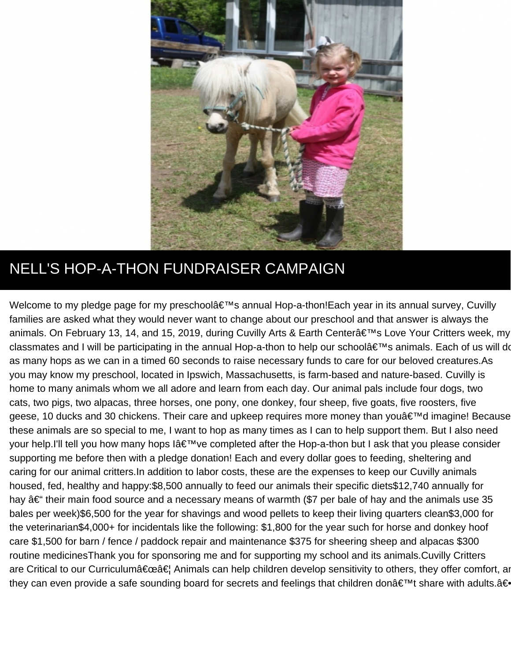

## NELL'S HOP-A-THON FUNDRAISER CAMPAIGN

Welcome to my pledge page for my preschool's annual Hop-a-thon!Each year in its annual survey, Cuvilly families are asked what they would never want to change about our preschool and that answer is always the animals. On February 13, 14, and 15, 2019, during Cuvilly Arts & Earth Center's Love Your Critters week, my classmates and I will be participating in the annual Hop-a-thon to help our school's animals. Each of us will d as many hops as we can in a timed 60 seconds to raise necessary funds to care for our beloved creatures.As you may know my preschool, located in Ipswich, Massachusetts, is farm-based and nature-based. Cuvilly is home to many animals whom we all adore and learn from each day. Our animal pals include four dogs, two cats, two pigs, two alpacas, three horses, one pony, one donkey, four sheep, five goats, five roosters, five geese, 10 ducks and 30 chickens. Their care and upkeep requires more money than you'd imagine! Because these animals are so special to me, I want to hop as many times as I can to help support them. But I also need your help.I'll tell you how many hops I've completed after the Hop-a-thon but I ask that you please consider supporting me before then with a pledge donation! Each and every dollar goes to feeding, sheltering and caring for our animal critters.In addition to labor costs, these are the expenses to keep our Cuvilly animals housed, fed, healthy and happy:\$8,500 annually to feed our animals their specific diets\$12,740 annually for hay  $\hat{a}\in$  their main food source and a necessary means of warmth (\$7 per bale of hay and the animals use 35 bales per week)\$6,500 for the year for shavings and wood pellets to keep their living quarters clean\$3,000 for the veterinarian\$4,000+ for incidentals like the following: \$1,800 for the year such for horse and donkey hoof care \$1,500 for barn / fence / paddock repair and maintenance \$375 for sheering sheep and alpacas \$300 routine medicinesThank you for sponsoring me and for supporting my school and its animals.Cuvilly Critters are Critical to our Curriculum"… Animals can help children develop sensitivity to others, they offer comfort, a they can even provide a safe sounding board for secrets and feelings that children don't share with adults.â€